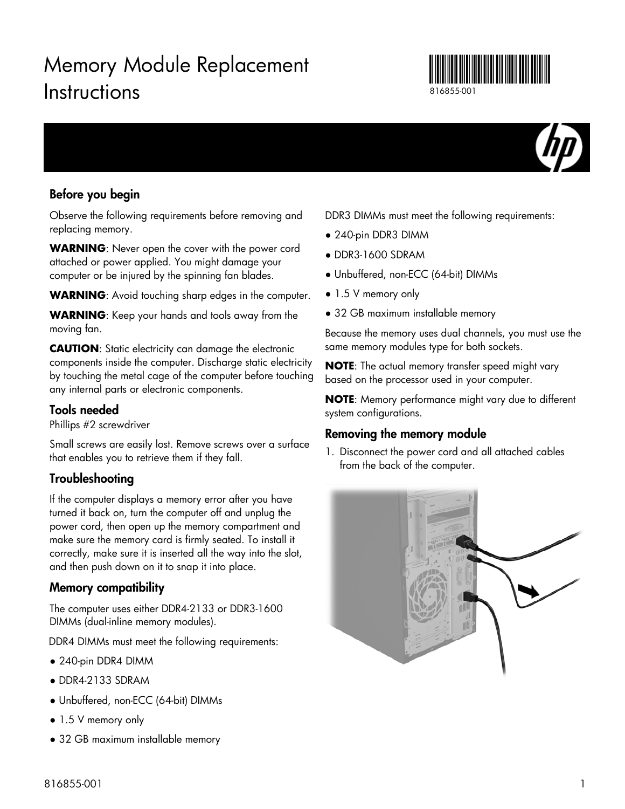# Memory Module Replacement **Instructions**



816855-001



### Before you begin

Observe the following requirements before removing and replacing memory.

**WARNING**: Never open the cover with the power cord attached or power applied. You might damage your computer or be injured by the spinning fan blades.

**WARNING**: Avoid touching sharp edges in the computer.

**WARNING**: Keep your hands and tools away from the moving fan.

**CAUTION**: Static electricity can damage the electronic components inside the computer. Discharge static electricity by touching the metal cage of the computer before touching any internal parts or electronic components.

#### Tools needed

Phillips #2 screwdriver

Small screws are easily lost. Remove screws over a surface that enables you to retrieve them if they fall.

#### Troubleshooting

If the computer displays a memory error after you have turned it back on, turn the computer off and unplug the power cord, then open up the memory compartment and make sure the memory card is firmly seated. To install it correctly, make sure it is inserted all the way into the slot, and then push down on it to snap it into place.

#### Memory compatibility

The computer uses either DDR4-2133 or DDR3-1600 DIMMs (dual-inline memory modules).

DDR4 DIMMs must meet the following requirements:

- 240-pin DDR4 DIMM
- DDR4-2133 SDRAM
- Unbuffered, non-ECC (64-bit) DIMMs
- 1.5 V memory only
- 32 GB maximum installable memory

DDR3 DIMMs must meet the following requirements:

- 240-pin DDR3 DIMM
- DDR3-1600 SDRAM
- Unbuffered, non-ECC (64-bit) DIMMs
- 1.5 V memory only
- 32 GB maximum installable memory

Because the memory uses dual channels, you must use the same memory modules type for both sockets.

**NOTE**: The actual memory transfer speed might vary based on the processor used in your computer.

**NOTE**: Memory performance might vary due to different system configurations.

#### Removing the memory module

1. Disconnect the power cord and all attached cables from the back of the computer.

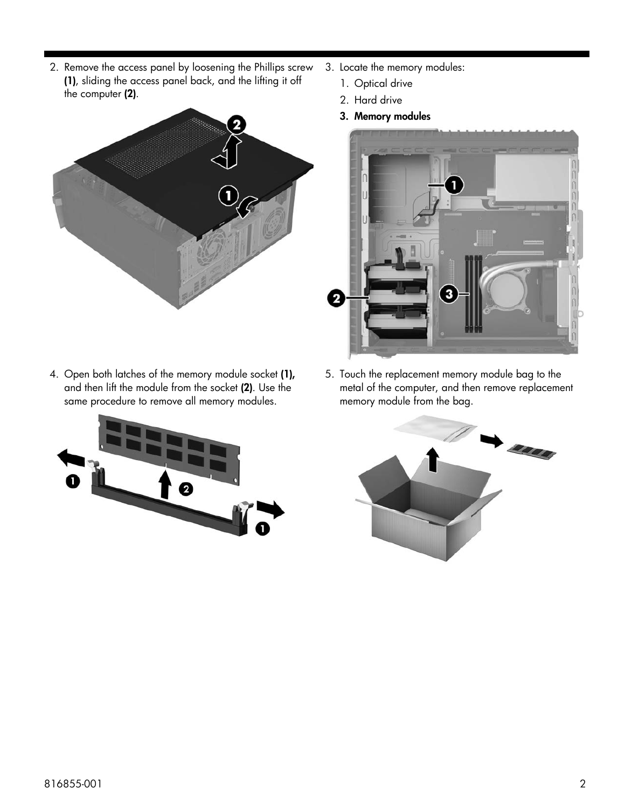2. Remove the access panel by loosening the Phillips screw (1), sliding the access panel back, and the lifting it off the computer (2).



4. Open both latches of the memory module socket (1), and then lift the module from the socket (2). Use the same procedure to remove all memory modules.



- 3. Locate the memory modules:
	- 1. Optical drive
	- 2. Hard drive
	- 3. Memory modules



5. Touch the replacement memory module bag to the metal of the computer, and then remove replacement memory module from the bag.